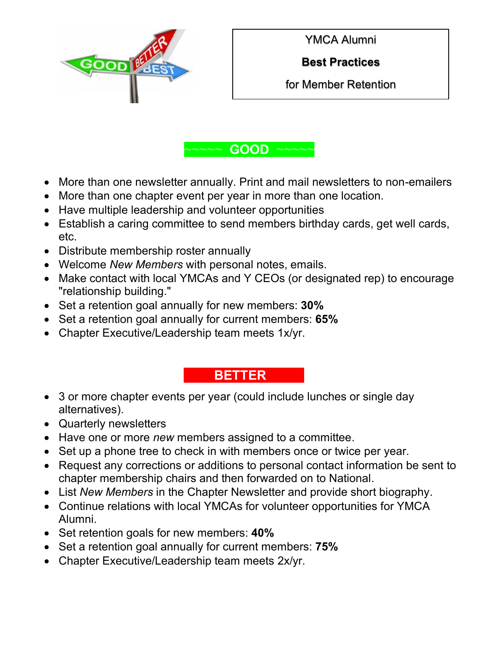

YMCA Alumni

**Best Practices** 

for Member Retention



- More than one newsletter annually. Print and mail newsletters to non-emailers
- More than one chapter event per year in more than one location.
- Have multiple leadership and volunteer opportunities
- Establish a caring committee to send members birthday cards, get well cards, etc.
- Distribute membership roster annually
- Welcome *New Members* with personal notes, emails.
- Make contact with local YMCAs and Y CEOs (or designated rep) to encourage "relationship building."
- Set a retention goal annually for new members: **30%**
- Set a retention goal annually for current members: **65%**
- Chapter Executive/Leadership team meets 1x/yr.

## **~~~~BETTER ~~~~ ~**

- 3 or more chapter events per year (could include lunches or single day alternatives).
- Quarterly newsletters
- Have one or more *new* members assigned to a committee.
- Set up a phone tree to check in with members once or twice per year.
- Request any corrections or additions to personal contact information be sent to chapter membership chairs and then forwarded on to National.
- List *New Members* in the Chapter Newsletter and provide short biography.
- Continue relations with local YMCAs for volunteer opportunities for YMCA Alumni.
- Set retention goals for new members: **40%**
- Set a retention goal annually for current members: **75%**
- Chapter Executive/Leadership team meets 2x/yr.